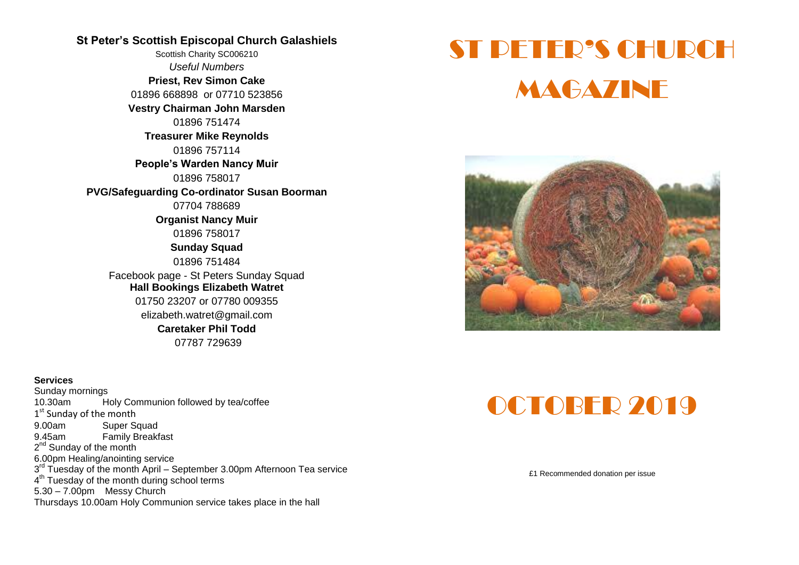#### **St Peter's Scottish Episcopal Church Galashiels**

Scottish Charity SC006210 *Useful Numbers*  **Priest, Rev Simon Cake** 01896 668898 or 07710 523856 **Vestry Chairman John Marsden** 01896 751474 **Treasurer Mike Reynolds** 01896 757114 **People's Warden Nancy Muir** 01896 758017 **PVG/Safeguarding Co-ordinator Susan Boorman** 07704 788689 **Organist Nancy Muir** 01896 758017 **Sunday Squad** 01896 751484 Facebook page - St Peters Sunday Squad **Hall Bookings Elizabeth Watret** 01750 23207 or 07780 009355 elizabeth.watret@gmail.com **Caretaker Phil Todd** 07787 729639

#### **Services**

Sunday mornings 10.30am Holy Communion followed by tea/coffee 1<sup>st</sup> Sunday of the month 9.00am Super Squad 9.45am Family Breakfast 2<sup>nd</sup> Sunday of the month 6.00pm Healing/anointing service 3<sup>rd</sup> Tuesday of the month April – September 3.00pm Afternoon Tea service 4<sup>th</sup> Tuesday of the month during school terms 5.30 – 7.00pm Messy Church Thursdays 10.00am Holy Communion service takes place in the hall

# ST PETER'S CHURCH **MAGAZINE**



# OCTOBER 2019

£1 Recommended donation per issue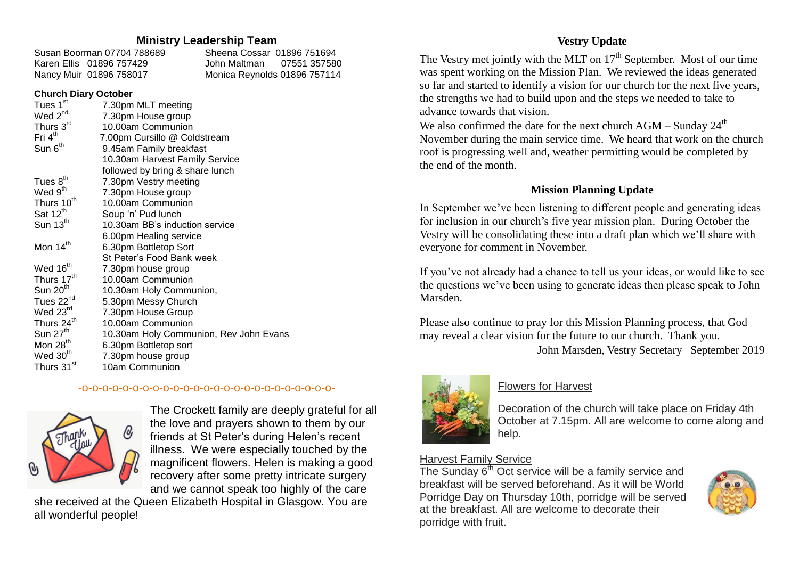#### **Ministry Leadership Team**

| Susan Boorman 07704 788689 | Sheena Cossar 01896 751694   |
|----------------------------|------------------------------|
| Karen Ellis 01896 757429   |                              |
| Nancy Muir 01896 758017    | Monica Reynolds 01896 757114 |

#### **Church Diary October**

| Tues 1 <sup>st</sup>   | 7.30pm MLT meeting                     |
|------------------------|----------------------------------------|
| Wed 2 <sup>nd</sup>    | 7.30pm House group                     |
| Thurs 3rd              | 10.00am Communion                      |
| Fri 4 <sup>th</sup>    | 7.00pm Cursillo @ Coldstream           |
| Sun 6 <sup>th</sup>    | 9.45am Family breakfast                |
|                        | 10.30am Harvest Family Service         |
|                        | followed by bring & share lunch        |
| Tues $8th$             | 7.30pm Vestry meeting                  |
| Wed 9 <sup>th</sup>    | 7.30pm House group                     |
| Thurs 10 <sup>th</sup> | 10.00am Communion                      |
| Sat 12 <sup>th</sup>   | Soup 'n' Pud lunch                     |
| Sun $13th$             | 10.30am BB's induction service         |
|                        | 6.00pm Healing service                 |
| Mon 14 <sup>th</sup>   | 6.30pm Bottletop Sort                  |
|                        | St Peter's Food Bank week              |
| Wed 16 <sup>th</sup>   | 7.30pm house group                     |
| Thurs 17 <sup>th</sup> | 10.00am Communion                      |
| Sun $20th$             | 10.30am Holy Communion,                |
| Tues 22 <sup>nd</sup>  | 5.30pm Messy Church                    |
| Wed 23rd               | 7.30pm House Group                     |
| Thurs 24 <sup>th</sup> | 10.00am Communion                      |
| Sun 27 <sup>th</sup>   | 10.30am Holy Communion, Rev John Evans |
| Mon 28 <sup>th</sup>   | 6.30pm Bottletop sort                  |
| Wed 30 <sup>th</sup>   | 7.30pm house group                     |
| Thurs 31 <sup>st</sup> | 10am Communion                         |
|                        |                                        |

#### -o-o-o-o-o-o-o-o-o-o-o-o-o-o-o-o-o-o-o-o-o-o-o-o-o-



The Crockett family are deeply grateful for all the love and prayers shown to them by our friends at St Peter's during Helen's recent illness. We were especially touched by the magnificent flowers. Helen is making a good recovery after some pretty intricate surgery and we cannot speak too highly of the care

she received at the Queen Elizabeth Hospital in Glasgow. You are all wonderful people!

## **Vestry Update**

The Vestry met jointly with the MLT on  $17<sup>th</sup>$  September. Most of our time was spent working on the Mission Plan. We reviewed the ideas generated so far and started to identify a vision for our church for the next five years, the strengths we had to build upon and the steps we needed to take to advance towards that vision.

We also confirmed the date for the next church  $AGM - Sundav 24<sup>th</sup>$ November during the main service time. We heard that work on the church roof is progressing well and, weather permitting would be completed by the end of the month.

#### **Mission Planning Update**

In September we've been listening to different people and generating ideas for inclusion in our church's five year mission plan. During October the Vestry will be consolidating these into a draft plan which we'll share with everyone for comment in November.

If you've not already had a chance to tell us your ideas, or would like to see the questions we've been using to generate ideas then please speak to John Marsden.

Please also continue to pray for this Mission Planning process, that God may reveal a clear vision for the future to our church. Thank you.

John Marsden, Vestry Secretary September 2019



## Flowers for Harvest

Decoration of the church will take place on Friday 4th October at 7.15pm. All are welcome to come along and help.

#### Harvest Family Service

The Sunday  $6<sup>th</sup>$  Oct service will be a family service and breakfast will be served beforehand. As it will be World Porridge Day on Thursday 10th, porridge will be served at the breakfast. All are welcome to decorate their porridge with fruit.

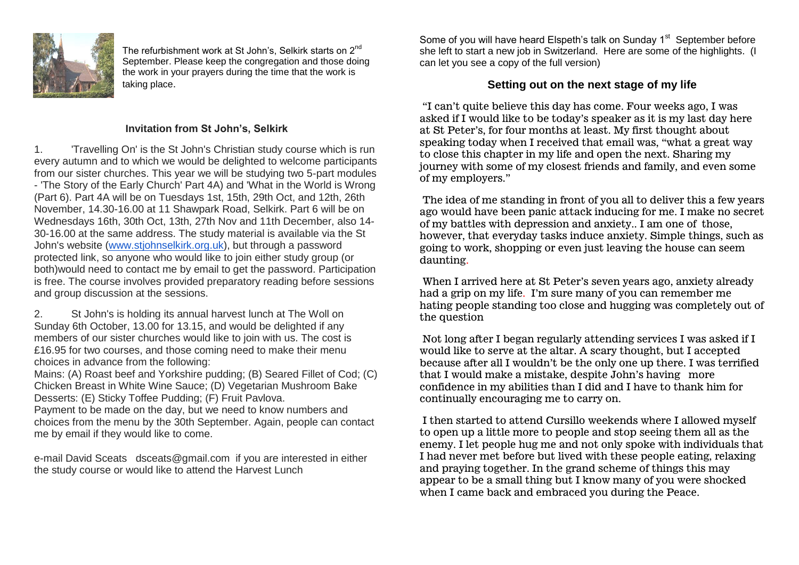

The refurbishment work at St John's, Selkirk starts on 2<sup>nd</sup> September. Please keep the congregation and those doing the work in your prayers during the time that the work is taking place.

#### **Invitation from St John's, Selkirk**

1. 'Travelling On' is the St John's Christian study course which is run every autumn and to which we would be delighted to welcome participants from our sister churches. This year we will be studying two 5-part modules - 'The Story of the Early Church' Part 4A) and 'What in the World is Wrong (Part 6). Part 4A will be on Tuesdays 1st, 15th, 29th Oct, and 12th, 26th November, 14.30-16.00 at 11 Shawpark Road, Selkirk. Part 6 will be on Wednesdays 16th, 30th Oct, 13th, 27th Nov and 11th December, also 14- 30-16.00 at the same address. The study material is available via the St John's website [\(www.stjohnselkirk.org.uk\)](http://www.stjohnselkirk.org.uk/), but through a password protected link, so anyone who would like to join either study group (or both)would need to contact me by email to get the password. Participation is free. The course involves provided preparatory reading before sessions and group discussion at the sessions.

2. St John's is holding its annual harvest lunch at The Woll on Sunday 6th October, 13.00 for 13.15, and would be delighted if any members of our sister churches would like to join with us. The cost is £16.95 for two courses, and those coming need to make their menu choices in advance from the following:

Mains: (A) Roast beef and Yorkshire pudding; (B) Seared Fillet of Cod; (C) Chicken Breast in White Wine Sauce; (D) Vegetarian Mushroom Bake Desserts: (E) Sticky Toffee Pudding; (F) Fruit Pavlova.

Payment to be made on the day, but we need to know numbers and choices from the menu by the 30th September. Again, people can contact me by email if they would like to come.

e-mail David Sceats dsceats@gmail.com if you are interested in either the study course or would like to attend the Harvest Lunch

Some of you will have heard Elspeth's talk on Sunday 1<sup>st</sup> September before she left to start a new job in Switzerland. Here are some of the highlights. (I can let you see a copy of the full version)

## **Setting out on the next stage of my life**

"I can't quite believe this day has come. Four weeks ago, I was asked if I would like to be today's speaker as it is my last day here at St Peter's, for four months at least. My first thought about speaking today when I received that email was, "what a great way to close this chapter in my life and open the next. Sharing my journey with some of my closest friends and family, and even some of my employers."

The idea of me standing in front of you all to deliver this a few years ago would have been panic attack inducing for me. I make no secret of my battles with depression and anxiety.. I am one of those, however, that everyday tasks induce anxiety. Simple things, such as going to work, shopping or even just leaving the house can seem daunting.

When I arrived here at St Peter's seven years ago, anxiety already had a grip on my life. I'm sure many of you can remember me hating people standing too close and hugging was completely out of the question

Not long after I began regularly attending services I was asked if I would like to serve at the altar. A scary thought, but I accepted because after all I wouldn't be the only one up there. I was terrified that I would make a mistake, despite John's having more confidence in my abilities than I did and I have to thank him for continually encouraging me to carry on.

I then started to attend Cursillo weekends where I allowed myself to open up a little more to people and stop seeing them all as the enemy. I let people hug me and not only spoke with individuals that I had never met before but lived with these people eating, relaxing and praying together. In the grand scheme of things this may appear to be a small thing but I know many of you were shocked when I came back and embraced you during the Peace.